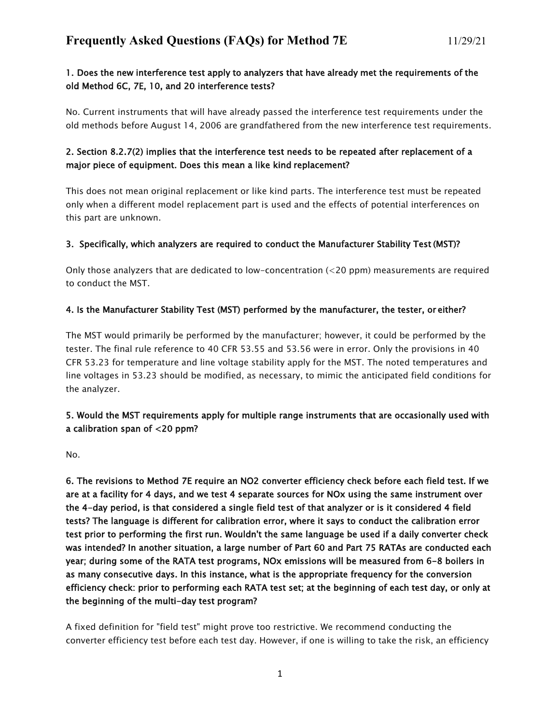#### 1. Does the new interference test apply to analyzers that have already met the requirements of the old Method 6C, 7E, 10, and 20 interference tests?

No. Current instruments that will have already passed the interference test requirements under the old methods before August 14, 2006 are grandfathered from the new interference test requirements.

## 2. Section 8.2.7(2) implies that the interference test needs to be repeated after replacement of a major piece of equipment. Does this mean a like kind replacement?

This does not mean original replacement or like kind parts. The interference test must be repeated only when a different model replacement part is used and the effects of potential interferences on this part are unknown.

#### 3. Specifically, which analyzers are required to conduct the Manufacturer Stability Test (MST)?

Only those analyzers that are dedicated to low-concentration (<20 ppm) measurements are required to conduct the MST.

#### 4. Is the Manufacturer Stability Test (MST) performed by the manufacturer, the tester, or either?

The MST would primarily be performed by the manufacturer; however, it could be performed by the tester. The final rule reference to 40 CFR 53.55 and 53.56 were in error. Only the provisions in 40 CFR 53.23 for temperature and line voltage stability apply for the MST. The noted temperatures and line voltages in 53.23 should be modified, as necessary, to mimic the anticipated field conditions for the analyzer.

#### 5. Would the MST requirements apply for multiple range instruments that are occasionally used with a calibration span of <20 ppm?

No.

6. The revisions to Method 7E require an NO2 converter efficiency check before each field test. If we are at a facility for 4 days, and we test 4 separate sources for NOx using the same instrument over the 4-day period, is that considered a single field test of that analyzer or is it considered 4 field tests? The language is different for calibration error, where it says to conduct the calibration error test prior to performing the first run. Wouldn't the same language be used if a daily converter check was intended? In another situation, a large number of Part 60 and Part 75 RATAs are conducted each year; during some of the RATA test programs, NOx emissions will be measured from 6-8 boilers in as many consecutive days. In this instance, what is the appropriate frequency for the conversion efficiency check: prior to performing each RATA test set; at the beginning of each test day, or only at the beginning of the multi-day test program?

A fixed definition for "field test" might prove too restrictive. We recommend conducting the converter efficiency test before each test day. However, if one is willing to take the risk, an efficiency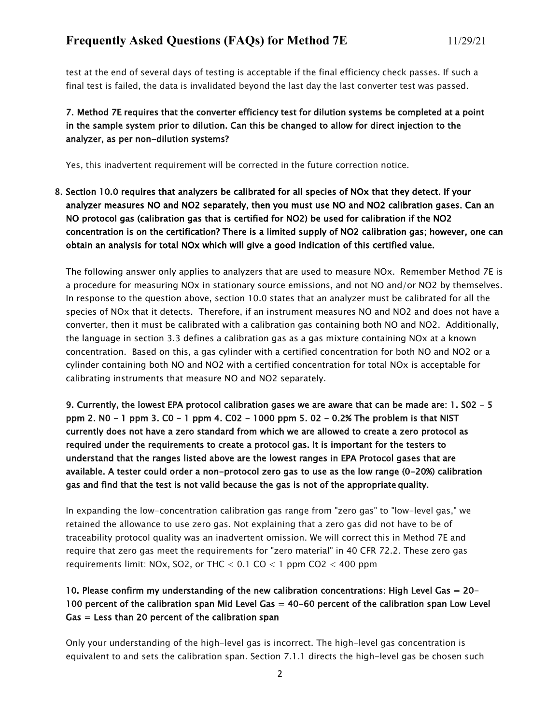test at the end of several days of testing is acceptable if the final efficiency check passes. If such a final test is failed, the data is invalidated beyond the last day the last converter test was passed.

## 7. Method 7E requires that the converter efficiency test for dilution systems be completed at a point in the sample system prior to dilution. Can this be changed to allow for direct injection to the analyzer, as per non-dilution systems?

Yes, this inadvertent requirement will be corrected in the future correction notice.

8. Section 10.0 requires that analyzers be calibrated for all species of NOx that they detect. If your analyzer measures NO and NO2 separately, then you must use NO and NO2 calibration gases. Can an NO protocol gas (calibration gas that is certified for NO2) be used for calibration if the NO2 concentration is on the certification? There is a limited supply of NO2 calibration gas; however, one can obtain an analysis for total NOx which will give a good indication of this certified value.

The following answer only applies to analyzers that are used to measure NOx. Remember Method 7E is a procedure for measuring NOx in stationary source emissions, and not NO and/or NO2 by themselves. In response to the question above, section 10.0 states that an analyzer must be calibrated for all the species of NOx that it detects. Therefore, if an instrument measures NO and NO2 and does not have a converter, then it must be calibrated with a calibration gas containing both NO and NO2. Additionally, the language in section 3.3 defines a calibration gas as a gas mixture containing NOx at a known concentration. Based on this, a gas cylinder with a certified concentration for both NO and NO2 or a cylinder containing both NO and NO2 with a certified concentration for total NOx is acceptable for calibrating instruments that measure NO and NO2 separately.

9. Currently, the lowest EPA protocol calibration gases we are aware that can be made are: 1. S02 - 5 ppm 2. N0 - 1 ppm 3. C0 - 1 ppm 4. C02 - 1000 ppm 5. 02 - 0.2% The problem is that NIST currently does not have a zero standard from which we are allowed to create a zero protocol as required under the requirements to create a protocol gas. It is important for the testers to understand that the ranges listed above are the lowest ranges in EPA Protocol gases that are available. A tester could order a non-protocol zero gas to use as the low range (0-20%) calibration gas and find that the test is not valid because the gas is not of the appropriate quality.

In expanding the low-concentration calibration gas range from "zero gas" to "low-level gas," we retained the allowance to use zero gas. Not explaining that a zero gas did not have to be of traceability protocol quality was an inadvertent omission. We will correct this in Method 7E and require that zero gas meet the requirements for "zero material" in 40 CFR 72.2. These zero gas requirements limit: NOx, SO2, or THC  $< 0.1$  CO  $< 1$  ppm CO2  $< 400$  ppm

# 10. Please confirm my understanding of the new calibration concentrations: High Level Gas = 20- 100 percent of the calibration span Mid Level Gas = 40-60 percent of the calibration span Low Level  $Gas = Less than 20 percent of the calibration span$

Only your understanding of the high-level gas is incorrect. The high-level gas concentration is equivalent to and sets the calibration span. Section 7.1.1 directs the high-level gas be chosen such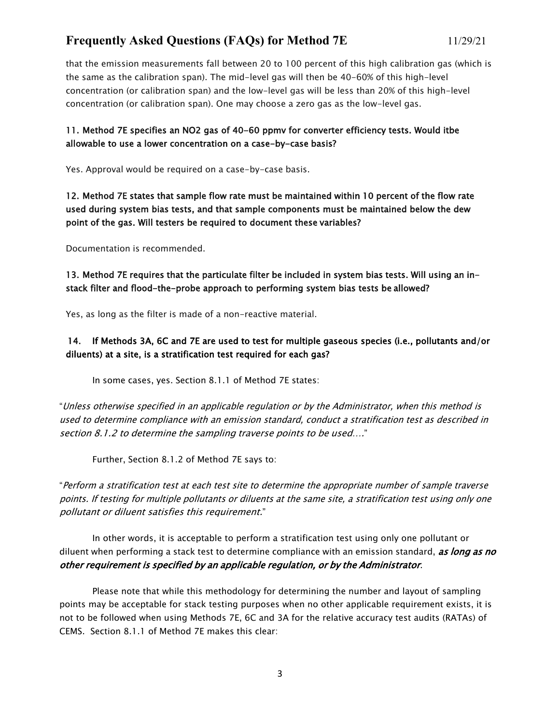# **Frequently Asked Questions (FAQs) for Method 7E** 11/29/21

that the emission measurements fall between 20 to 100 percent of this high calibration gas (which is the same as the calibration span). The mid-level gas will then be 40-60% of this high-level concentration (or calibration span) and the low-level gas will be less than 20% of this high-level concentration (or calibration span). One may choose a zero gas as the low-level gas.

## 11. Method 7E specifies an NO2 gas of 40-60 ppmv for converter efficiency tests. Would itbe allowable to use a lower concentration on a case-by-case basis?

Yes. Approval would be required on a case-by-case basis.

12. Method 7E states that sample flow rate must be maintained within 10 percent of the flow rate used during system bias tests, and that sample components must be maintained below the dew point of the gas. Will testers be required to document these variables?

Documentation is recommended.

13. Method 7E requires that the particulate filter be included in system bias tests. Will using an instack filter and flood-the-probe approach to performing system bias tests be allowed?

Yes, as long as the filter is made of a non-reactive material.

### 14. If Methods 3A, 6C and 7E are used to test for multiple gaseous species (i.e., pollutants and/or diluents) at a site, is a stratification test required for each gas?

In some cases, yes. Section 8.1.1 of Method 7E states:

"Unless otherwise specified in an applicable regulation or by the Administrator, when this method is used to determine compliance with an emission standard, conduct a stratification test as described in section 8.1.2 to determine the sampling traverse points to be used…."

Further, Section 8.1.2 of Method 7E says to:

"Perform a stratification test at each test site to determine the appropriate number of sample traverse points. If testing for multiple pollutants or diluents at the same site, <sup>a</sup> stratification test using only one pollutant or diluent satisfies this requirement."

In other words, it is acceptable to perform a stratification test using only one pollutant or diluent when performing a stack test to determine compliance with an emission standard, *as long as no* other requirement is specified by an applicable regulation, or by the Administrator.

Please note that while this methodology for determining the number and layout of sampling points may be acceptable for stack testing purposes when no other applicable requirement exists, it is not to be followed when using Methods 7E, 6C and 3A for the relative accuracy test audits (RATAs) of CEMS. Section 8.1.1 of Method 7E makes this clear: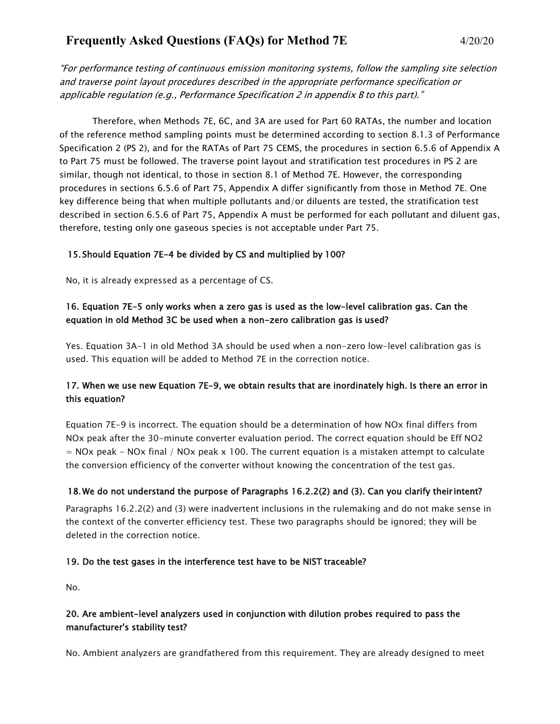# **Frequently Asked Questions (FAQs) for Method 7E** 4/20/20

"For performance testing of continuous emission monitoring systems, follow the sampling site selection and traverse point layout procedures described in the appropriate performance specification or applicable regulation (e.g., Performance Specification 2 in appendix B to this part)."

Therefore, when Methods 7E, 6C, and 3A are used for Part 60 RATAs, the number and location of the reference method sampling points must be determined according to section 8.1.3 of Performance Specification 2 (PS 2), and for the RATAs of Part 75 CEMS, the procedures in section 6.5.6 of Appendix A to Part 75 must be followed. The traverse point layout and stratification test procedures in PS 2 are similar, though not identical, to those in section 8.1 of Method 7E. However, the corresponding procedures in sections 6.5.6 of Part 75, Appendix A differ significantly from those in Method 7E. One key difference being that when multiple pollutants and/or diluents are tested, the stratification test described in section 6.5.6 of Part 75, Appendix A must be performed for each pollutant and diluent gas, therefore, testing only one gaseous species is not acceptable under Part 75.

#### 15. Should Equation 7E-4 be divided by CS and multiplied by 100?

No, it is already expressed as a percentage of CS.

### 16. Equation 7E-5 only works when a zero gas is used as the low-level calibration gas. Can the equation in old Method 3C be used when a non-zero calibration gas is used?

Yes. Equation 3A-1 in old Method 3A should be used when a non-zero low-level calibration gas is used. This equation will be added to Method 7E in the correction notice.

## 17. When we use new Equation 7E-9, we obtain results that are inordinately high. Is there an error in this equation?

Equation 7E-9 is incorrect. The equation should be a determination of how NOx final differs from NOx peak after the 30-minute converter evaluation period. The correct equation should be Eff NO2  $=$  NOx peak - NOx final / NOx peak x 100. The current equation is a mistaken attempt to calculate the conversion efficiency of the converter without knowing the concentration of the test gas.

#### 18.We do not understand the purpose of Paragraphs 16.2.2(2) and (3). Can you clarify their intent?

Paragraphs 16.2.2(2) and (3) were inadvertent inclusions in the rulemaking and do not make sense in the context of the converter efficiency test. These two paragraphs should be ignored; they will be deleted in the correction notice.

#### 19. Do the test gases in the interference test have to be NIST traceable?

No.

## 20. Are ambient-level analyzers used in conjunction with dilution probes required to pass the manufacturer's stability test?

No. Ambient analyzers are grandfathered from this requirement. They are already designed to meet